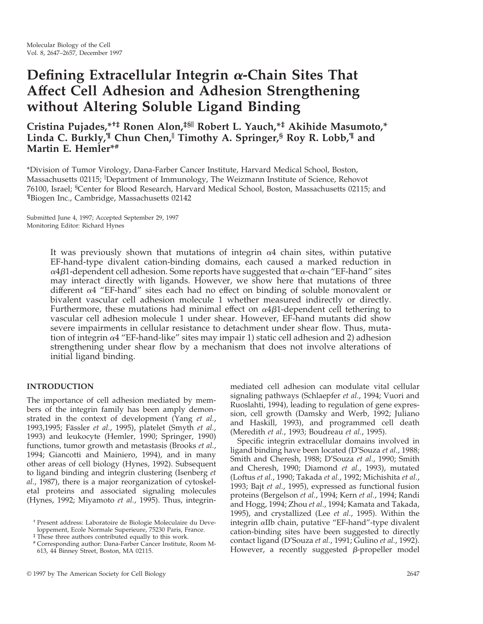# **Defining Extracellular Integrin** <sup>a</sup>**-Chain Sites That Affect Cell Adhesion and Adhesion Strengthening without Altering Soluble Ligand Binding**

**Cristina Pujades,\*†‡ Ronen Alon,‡§**<sup>|</sup> **Robert L. Yauch,\*‡ Akihide Masumoto,\* Linda C. Burkly,¶ Chun Chen,**<sup>|</sup> **Timothy A. Springer,§ Roy R. Lobb,¶ and Martin E. Hemler\*#**

\*Division of Tumor Virology, Dana-Farber Cancer Institute, Harvard Medical School, Boston, Massachusetts 02115; <sup>||</sup>Department of Immunology, The Weizmann Institute of Science, Rehovot 76100, Israel; <sup>§</sup>Center for Blood Research, Harvard Medical School, Boston, Massachusetts 02115; and ¶Biogen Inc., Cambridge, Massachusetts 02142

Submitted June 4, 1997; Accepted September 29, 1997 Monitoring Editor: Richard Hynes

> It was previously shown that mutations of integrin  $\alpha$ 4 chain sites, within putative EF-hand-type divalent cation-binding domains, each caused a marked reduction in  $\alpha$ 4 $\beta$ 1-dependent cell adhesion. Some reports have suggested that  $\alpha$ -chain "EF-hand" sites may interact directly with ligands. However, we show here that mutations of three different  $\alpha$ 4 "EF-hand" sites each had no effect on binding of soluble monovalent or bivalent vascular cell adhesion molecule 1 whether measured indirectly or directly. Furthermore, these mutations had minimal effect on  $\alpha$ 4 $\beta$ 1-dependent cell tethering to vascular cell adhesion molecule 1 under shear. However, EF-hand mutants did show severe impairments in cellular resistance to detachment under shear flow. Thus, mutation of integrin  $\alpha$ 4 "EF-hand-like" sites may impair 1) static cell adhesion and 2) adhesion strengthening under shear flow by a mechanism that does not involve alterations of initial ligand binding.

# **INTRODUCTION**

The importance of cell adhesion mediated by members of the integrin family has been amply demonstrated in the context of development (Yang *et al.*, 1993,1995; Fa¨ssler *et al.*, 1995), platelet (Smyth *et al.*, 1993) and leukocyte (Hemler, 1990; Springer, 1990) functions, tumor growth and metastasis (Brooks *et al.*, 1994; Giancotti and Mainiero, 1994), and in many other areas of cell biology (Hynes, 1992). Subsequent to ligand binding and integrin clustering (Isenberg *et al.*, 1987), there is a major reorganization of cytoskeletal proteins and associated signaling molecules (Hynes, 1992; Miyamoto *et al.*, 1995). Thus, integrin-

‡ These three authors contributed equally to this work.

mediated cell adhesion can modulate vital cellular signaling pathways (Schlaepfer *et al.*, 1994; Vuori and Ruoslahti, 1994), leading to regulation of gene expression, cell growth (Damsky and Werb, 1992; Juliano and Haskill, 1993), and programmed cell death (Meredith *et al.*, 1993; Boudreau *et al.*, 1995).

Specific integrin extracellular domains involved in ligand binding have been located (D'Souza *et al.*, 1988; Smith and Cheresh, 1988; D'Souza *et al.*, 1990; Smith and Cheresh, 1990; Diamond *et al.*, 1993), mutated (Loftus *et al.*, 1990; Takada *et al.*, 1992; Michishita *et al.*, 1993; Bajt *et al.*, 1995), expressed as functional fusion proteins (Bergelson *et al.*, 1994; Kern *et al.*, 1994; Randi and Hogg, 1994; Zhou *et al.*, 1994; Kamata and Takada, 1995), and crystallized (Lee *et al.*, 1995). Within the integrin <sup>a</sup>IIb chain, putative "EF-hand"-type divalent cation-binding sites have been suggested to directly contact ligand (D'Souza *et al.*, 1991; Gulino *et al.*, 1992). However, a recently suggested  $\beta$ -propeller model

<sup>†</sup> Present address: Laboratoire de Biologie Moleculaire du Developpement, Ecole Normale Superieure, 75230 Paris, France.

<sup>#</sup> Corresponding author: Dana-Farber Cancer Institute, Room M-613, 44 Binney Street, Boston, MA 02115.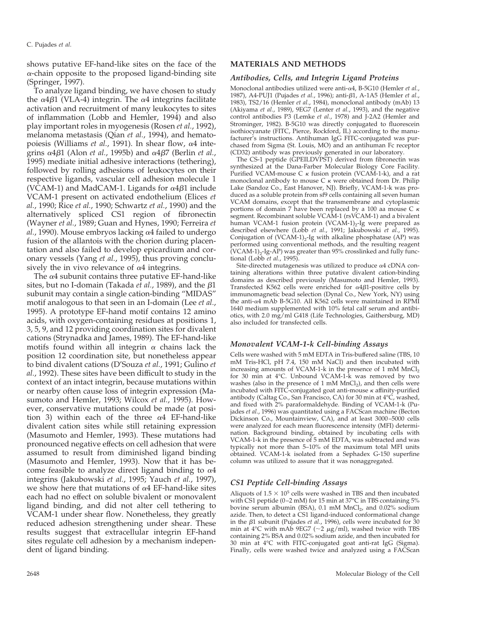shows putative EF-hand-like sites on the face of the  $\alpha$ -chain opposite to the proposed ligand-binding site (Springer, 1997).

To analyze ligand binding, we have chosen to study the  $\alpha$ 4 $\beta$ 1 (VLA-4) integrin. The  $\alpha$ 4 integrins facilitate activation and recruitment of many leukocytes to sites of inflammation (Lobb and Hemler, 1994) and also play important roles in myogenesis (Rosen *et al.*, 1992), melanoma metastasis (Qian *et al.*, 1994), and hematopoiesis (Williams *et al.*, 1991). In shear flow,  $\alpha$ 4 integrins  $\alpha$ 4 $\beta$ 1 (Alon *et al.*, 1995b) and  $\alpha$ 4 $\beta$ 7 (Berlin *et al.*, 1995) mediate initial adhesive interactions (tethering), followed by rolling adhesions of leukocytes on their respective ligands, vascular cell adhesion molecule 1 (VCAM-1) and MadCAM-1. Ligands for  $\alpha$ 4 $\beta$ 1 include VCAM-1 present on activated endothelium (Elices *et al.*, 1990; Rice *et al.*, 1990; Schwartz *et al.*, 1990) and the alternatively spliced CS1 region of fibronectin (Wayner *et al.*, 1989; Guan and Hynes, 1990; Ferreira *et*  $al.$ , 1990). Mouse embryos lacking  $\alpha$ 4 failed to undergo fusion of the allantois with the chorion during placentation and also failed to develop epicardium and coronary vessels (Yang *et al.*, 1995), thus proving conclusively the in vivo relevance of  $\alpha$ 4 integrins.

The  $\alpha$ 4 subunit contains three putative EF-hand-like sites, but no I-domain (Takada *et al.*, 1989), and the  $\beta$ 1 subunit may contain a single cation-binding "MIDAS" motif analogous to that seen in an I-domain (Lee *et al.*, 1995). A prototype EF-hand motif contains 12 amino acids, with oxygen-containing residues at positions 1, 3, 5, 9, and 12 providing coordination sites for divalent cations (Strynadka and James, 1989). The EF-hand-like motifs found within all integrin  $\alpha$  chains lack the position 12 coordination site, but nonetheless appear to bind divalent cations (D'Souza *et al.*, 1991; Gulino *et al.*, 1992). These sites have been difficult to study in the context of an intact integrin, because mutations within or nearby often cause loss of integrin expression (Masumoto and Hemler, 1993; Wilcox *et al.*, 1995). However, conservative mutations could be made (at position 3) within each of the three  $\alpha$ 4 EF-hand-like divalent cation sites while still retaining expression (Masumoto and Hemler, 1993). These mutations had pronounced negative effects on cell adhesion that were assumed to result from diminished ligand binding (Masumoto and Hemler, 1993). Now that it has become feasible to analyze direct ligand binding to  $\alpha$ 4 integrins (Jakubowski *et al.*, 1995; Yauch *et al.*, 1997), we show here that mutations of  $\alpha$ 4 EF-hand-like sites each had no effect on soluble bivalent or monovalent ligand binding, and did not alter cell tethering to VCAM-1 under shear flow. Nonetheless, they greatly reduced adhesion strengthening under shear. These results suggest that extracellular integrin EF-hand sites regulate cell adhesion by a mechanism independent of ligand binding.

## **MATERIALS AND METHODS**

#### *Antibodies, Cells, and Integrin Ligand Proteins*

Monoclonal antibodies utilized were anti-a4, B-5G10 (Hemler *et al.*, 1987), A4-PUJ1 (Pujades *et al.*, 1996); anti-b1, A-1A5 (Hemler *et al.*, 1983), TS2/16 (Hemler *et al.*, 1984), monoclonal antibody (mAb) 13 (Akiyama *et al.*, 1989), 9EG7 (Lenter *et al.*, 1993), and the negative control antibodies P3 (Lemke *et al.*, 1978) and J-2A2 (Hemler and Strominger, 1982). B-5G10 was directly conjugated to fluorescein isothiocyanate (FITC, Pierce, Rockford, IL) according to the manufacturer's instructions. Antihuman IgG FITC-conjugated was purchased from Sigma (St. Louis, MO) and an antihuman Fc receptor (CD32) antibody was previously generated in our laboratory.

The CS-1 peptide (GPEILDVPST) derived from fibronectin was synthesized at the Dana-Farber Molecular Biology Core Facility. Purified VCAM-mouse C  $\kappa$  fusion protein (VCAM-1-k), and a rat monoclonal antibody to mouse  $C \kappa$  were obtained from Dr. Philip Lake (Sandoz Co., East Hanover, NJ). Briefly, VCAM-1-k was produced as a soluble protein from sf9 cells containing all seven human VCAM domains, except that the transmembrane and cytoplasmic portions of domain 7 have been replaced by a 100 aa mouse  $C \kappa$ segment. Recombinant soluble VCAM-1 (rsVCAM-1) and a bivalent human VCAM-1 fusion protein (VCAM-1)<sub>2</sub>-Ig were prepared as described elsewhere (Lobb *et al.*, 1991; Jakubowski *et al.*, 1995). Conjugation of  $(VCAM-1)_2$ -Ig with alkaline phosphatase (AP) was performed using conventional methods, and the resulting reagent  $(VCAM-1)<sub>2</sub>-Ig-AP$ ) was greater than 95% crosslinked and fully functional (Lobb *et al.*, 1995).

Site-directed mutagenesis was utilized to produce  $\alpha$ 4 cDNA containing alterations within three putative divalent cation-binding domains as described previously (Masumoto and Hemler, 1993). Transfected K562 cells were enriched for  $\alpha$ 4 $\beta$ 1-positive cells by immunomagnetic bead selection (Dynal Co., New York, NY) using the anti- $\alpha$ 4 mAb B-5G10. All K562 cells were maintained in RPMI 1640 medium supplemented with 10% fetal calf serum and antibiotics, with 2.0 mg/ml G418 (Life Technologies, Gaithersburg, MD) also included for transfected cells.

#### *Monovalent VCAM-1-k Cell-binding Assays*

Cells were washed with 5 mM EDTA in Tris-buffered saline (TBS, 10 mM Tris-HCl, pH 7.4, 150 mM NaCl) and then incubated with increasing amounts of VCAM-1-k in the presence of 1 mM  $MnCl<sub>2</sub>$ for 30 min at 4°C. Unbound VCAM-1-k was removed by two washes (also in the presence of 1 mM  $MnCl<sub>2</sub>$ ), and then cells were incubated with FITC-conjugated goat anti-mouse  $\kappa$  affinity-purified antibody (Caltag Co., San Francisco, CA) for 30 min at 4°C, washed, and fixed with 2% paraformaldehyde. Binding of VCAM-1-k (Pujades *et al.*, 1996) was quantitated using a FACScan machine (Becton Dickinson Co., Mountainview, CA), and at least 3000–5000 cells were analyzed for each mean fluorescence intensity (MFI) determination. Background binding, obtained by incubating cells with VCAM-1-k in the presence of 5 mM EDTA, was subtracted and was typically not more than 5–10% of the maximum total MFI units obtained. VCAM-1-k isolated from a Sephadex G-150 superfine column was utilized to assure that it was nonaggregated.

### *CS1 Peptide Cell-binding Assays*

Aliquots of  $1.5 \times 10^5$  cells were washed in TBS and then incubated with CS1 peptide (0–2 mM) for 15 min at 37°C in TBS containing 5% bovine serum albumin (BSA), 0.1 mM  $MnCl_{2}$ , and 0.02% sodium azide. Then, to detect a CS1 ligand-induced conformational change in the  $\beta$ 1 subunit (Pujades *et al.*, 1996), cells were incubated for  $\overline{30}$ min at 4°C with mAb 9EG7 ( $\sim$ 2  $\mu$ g/ml), washed twice with TBS containing 2% BSA and 0.02% sodium azide, and then incubated for 30 min at 4°C with FITC-conjugated goat anti-rat IgG (Sigma). Finally, cells were washed twice and analyzed using a FACScan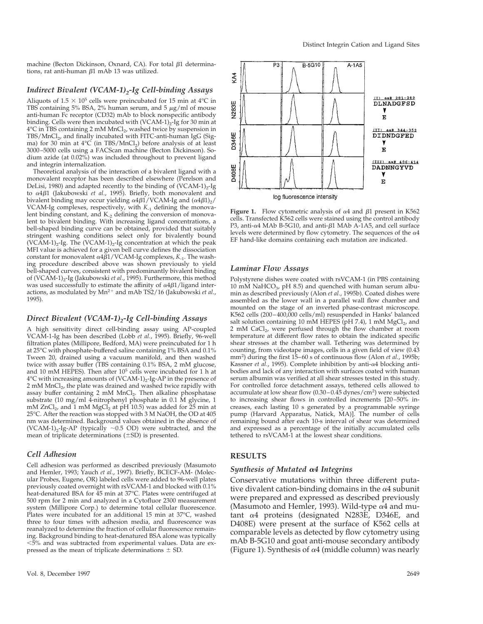machine (Becton Dickinson, Oxnard, CA). For total  $\beta$ 1 determinations, rat anti-human  $\beta$ 1 mAb 13 was utilized.

# *Indirect Bivalent (VCAM-1)<sub>2</sub>-Ig Cell-binding Assays*

Aliquots of 1.5  $\times$  10<sup>5</sup> cells were preincubated for 15 min at 4°C in TBS containing 5% BSA, 2% human serum, and 5  $\mu$ g/ml of mouse anti-human Fc receptor (CD32) mAb to block nonspecific antibody binding. Cells were then incubated with  $(VCAM-1)_2$ -Ig for 30 min at 4°C in TBS containing 2 mM MnCl<sub>2</sub>, washed twice by suspension in  $TBS/MnCl<sub>2</sub>$ , and finally incubated with FITC-anti-human IgG (Sigma) for 30 min at  $4^{\circ}C$  (in TBS/MnCl<sub>2</sub>) before analysis of at least 3000–5000 cells using a FACScan machine (Becton Dickinson). Sodium azide (at 0.02%) was included throughout to prevent ligand and integrin internalization.

Theoretical analysis of the interaction of a bivalent ligand with a monovalent receptor has been described elsewhere (Perelson and DeLisi, 1980) and adapted recently to the binding of (VCAM-1)<sub>2</sub>-Ig to <sup>a</sup>4b1 (Jakubowski *et al.*, 1995). Briefly, both monovalent and bivalent binding may occur yielding  $\alpha$ 4 $\beta$ 1/VCAM-Ig and  $(\alpha$ 4 $\beta$ 1)<sub>2</sub>/ VCAM-Ig complexes, respectively, with  $K_{-1}$  defining the monovalent binding constant, and  $K<sub>-2</sub>$  defining the conversion of monovalent to bivalent binding. With increasing ligand concentrations, a bell-shaped binding curve can be obtained, provided that suitably stringent washing conditions select only for bivalently bound (VCAM-1)<sub>2</sub>-Ig. The (VCAM-1)<sub>2</sub>-Ig concentration at which the peak MFI value is achieved for a given bell curve defines the dissociation constant for monovalent  $\alpha$ 4 $\beta$ 1/VCAM-Ig complexes,  $K_{-1}$ . The washing procedure described above was shown previously to yield bell-shaped curves, consistent with predominantly bivalent binding of (VCAM-1)<sub>2</sub>-Ig (Jakubowski *et al.*, 1995). Furthermore, this method was used successfully to estimate the affinity of  $\alpha$ 4 $\beta$ 1/ligand interactions, as modulated by Mn<sup>2+</sup> and mAb TS2/16 (Jakubowski *et al.*, 1995).

# *Direct Bivalent (VCAM-1)*<sub>2</sub>-Ig Cell-binding Assays

A high sensitivity direct cell-binding assay using AP-coupled VCAM-1-Ig has been described (Lobb *et al.*, 1995). Briefly, 96-well filtration plates (Millipore, Bedford, MA) were preincubated for 1 h at 25°C with phosphate-buffered saline containing 1% BSA and 0.1% Tween 20, drained using a vacuum manifold, and then washed twice with assay buffer (TBS containing 0.1% BSA, 2 mM glucose, and 10 mM HEPES). Then after 10<sup>5</sup> cells were incubated for 1 h at  $4^{\circ}$ C with increasing amounts of (VCAM-1)<sub>2</sub>-Ig-AP in the presence of 2 mM MnCl<sub>2</sub>, the plate was drained and washed twice rapidly with assay buffer containing 2 mM MnCl<sub>2</sub>. Then alkaline phosphatase substrate (10 mg/ml 4-nitrophenyl phosphate in 0.1 M glycine, 1 mM  $ZnCl<sub>2</sub>$ , and 1 mM  $MgCl<sub>2</sub>$  at pH 10.5) was added for 25 min at 25°C. After the reaction was stopped with 3 M NaOH, the OD at 405 nm was determined. Background values obtained in the absence of (VCAM-1)<sub>2</sub>-Ig-AP (typically  $\sim$ 0.5 OD) were subtracted, and the mean of triplicate determinations  $(\pm SD)$  is presented.

# *Cell Adhesion*

Cell adhesion was performed as described previously (Masumoto and Hemler, 1993; Yauch *et al.*, 1997). Briefly, BCECF-AM- (Molecular Probes, Eugene, OR) labeled cells were added to 96-well plates previously coated overnight with rsVCAM-1 and blocked with 0.1% heat-denatured BSA for 45 min at 37°C. Plates were centrifuged at 500 rpm for 2 min and analyzed in a Cytofluor 2300 measurement system (Millipore Corp.) to determine total cellular fluorescence. Plates were incubated for an additional 15 min at 37°C, washed three to four times with adhesion media, and fluorescence was reanalyzed to determine the fraction of cellular fluorescence remaining. Background binding to heat-denatured BSA alone was typically  $<$  5% and was subtracted from experimental values. Data are expressed as the mean of triplicate determinations  $\pm$  SD.



**Figure 1.** Flow cytometric analysis of  $\alpha$ 4 and  $\beta$ 1 present in K562 cells. Transfected K562 cells were stained using the control antibody P3, anti- $\alpha$ 4 MAb B-5G10, and anti- $\beta$ 1 MAb A-1A5, and cell surface levels were determined by flow cytometry. The sequences of the  $\alpha$ 4 EF hand-like domains containing each mutation are indicated.

#### *Laminar Flow Assays*

Polystyrene dishes were coated with rsVCAM-1 (in PBS containing 10 mM NaHCO<sub>3</sub>, pH 8.5) and quenched with human serum albumin as described previously (Alon *et al.*, 1995b). Coated dishes were assembled as the lower wall in a parallel wall flow chamber and mounted on the stage of an inverted phase-contrast microscope. K562 cells (200–400,000 cells/ml) resuspended in Hanks' balanced salt solution containing 10 mM HEPES (pH 7.4), 1 mM  $MgCl<sub>2</sub>$ , and 2 mM CaCl<sub>2</sub>, were perfused through the flow chamber at room temperature at different flow rates to obtain the indicated specific shear stresses at the chamber wall. Tethering was determined by counting, from videotape images, cells in a given field of view (0.43 mm<sup>2</sup> ) during the first 15–60 s of continuous flow (Alon *et al.*, 1995b; Kassner *et al.*, 1995). Complete inhibition by anti- $\alpha$ 4 blocking antibodies and lack of any interaction with surfaces coated with human serum albumin was verified at all shear stresses tested in this study. For controlled force detachment assays, tethered cells allowed to accumulate at low shear flow (0.30 – 0.45 dynes/cm<sup>2</sup>) were subjected to increasing shear flows in controlled increments [20–50% increases, each lasting 10 s generated by a programmable syringe pump (Harvard Apparatus, Natick, MA)]. The number of cells remaining bound after each 10-s interval of shear was determined and expressed as a percentage of the initially accumulated cells tethered to rsVCAM-1 at the lowest shear conditions.

## **RESULTS**

#### *Synthesis of Mutated* <sup>a</sup>*4 Integrins*

Conservative mutations within three different putative divalent cation-binding domains in the  $\alpha$ 4 subunit were prepared and expressed as described previously (Masumoto and Hemler, 1993). Wild-type  $\alpha$ 4 and mutant  $\alpha$ 4 proteins (designated N283E, D346E, and D408E) were present at the surface of K562 cells at comparable levels as detected by flow cytometry using mAb B-5G10 and goat anti-mouse secondary antibody (Figure 1). Synthesis of  $\alpha$ 4 (middle column) was nearly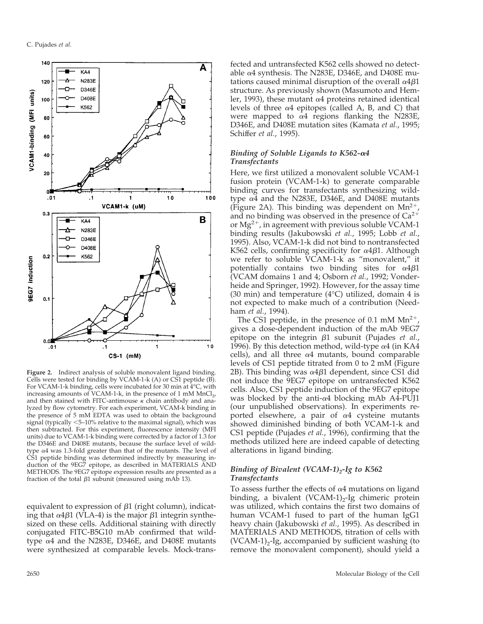

**Figure 2.** Indirect analysis of soluble monovalent ligand binding. Cells were tested for binding by VCAM-1-k (A) or CS1 peptide (B). For VCAM-1-k binding, cells were incubated for 30 min at 4°C, with increasing amounts of VCAM-1-k, in the presence of 1 mM  $MnCl<sub>2</sub>$ , and then stained with FITC-antimouse  $\kappa$  chain antibody and analyzed by flow cytometry. For each experiment, VCAM-k binding in the presence of 5 mM EDTA was used to obtain the background signal (typically  $\leq$ 5–10% relative to the maximal signal), which was then subtracted. For this experiment, fluorescence intensity (MFI units) due to VCAM-1-k binding were corrected by a factor of 1.3 for the D346E and D408E mutants, because the surface level of wildtype  $\alpha$ 4 was 1.3-fold greater than that of the mutants. The level of CS1 peptide binding was determined indirectly by measuring induction of the 9EG7 epitope, as described in MATERIALS AND METHODS. The 9EG7 epitope expression results are presented as a fraction of the total  $\beta$ 1 subunit (measured using mAb 13).

equivalent to expression of  $\beta$ 1 (right column), indicating that  $\alpha$ 4 $\beta$ 1 (VLA-4) is the major  $\beta$ 1 integrin synthesized on these cells. Additional staining with directly conjugated FITC-B5G10 mAb confirmed that wildtype <sup>a</sup>4 and the N283E, D346E, and D408E mutants were synthesized at comparable levels. Mock-transfected and untransfected K562 cells showed no detectable  $\alpha$ 4 synthesis. The N283E, D346E, and D408E mutations caused minimal disruption of the overall  $\alpha$ 4 $\beta$ 1 structure. As previously shown (Masumoto and Hemler, 1993), these mutant  $\alpha$ 4 proteins retained identical levels of three  $\alpha$ 4 epitopes (called A, B, and C) that were mapped to  $\alpha$ 4 regions flanking the N283E, D346E, and D408E mutation sites (Kamata *et al.*, 1995; Schiffer *et al.*, 1995).

## *Binding of Soluble Ligands to K562-*a*4 Transfectants*

Here, we first utilized a monovalent soluble VCAM-1 fusion protein (VCAM-1-k) to generate comparable binding curves for transfectants synthesizing wildtype  $\alpha$ 4 and the N283E, D346E, and D408E mutants (Figure 2A). This binding was dependent on  $Mn^{2+}$ and no binding was observed in the presence of  $Ca^{2+}$ or  $Mg^{2+}$ , in agreement with previous soluble VCAM-1 binding results (Jakubowski *et al.*, 1995; Lobb *et al.*, 1995). Also, VCAM-1-k did not bind to nontransfected K562 cells, confirming specificity for  $\alpha$ 4 $\beta$ 1. Although we refer to soluble VCAM-1-k as "monovalent," it potentially contains two binding sites for  $\alpha$ 4 $\beta$ 1 (VCAM domains 1 and 4; Osborn *et al.*, 1992; Vonderheide and Springer, 1992). However, for the assay time (30 min) and temperature (4°C) utilized, domain 4 is not expected to make much of a contribution (Needham *et al.*, 1994).

The CS1 peptide, in the presence of 0.1 mM  $Mn^{2+}$ gives a dose-dependent induction of the mAb 9EG7 epitope on the integrin  $\beta$ 1 subunit (Pujades *et al.*, 1996). By this detection method, wild-type  $\alpha$ 4 (in KA4 cells), and all three  $\alpha$ 4 mutants, bound comparable levels of CS1 peptide titrated from 0 to 2 mM (Figure 2B). This binding was  $\alpha$ 4 $\beta$ 1 dependent, since CS1 did not induce the 9EG7 epitope on untransfected K562 cells. Also, CS1 peptide induction of the 9EG7 epitope was blocked by the anti- $\alpha$ 4 blocking mAb A4-PUJ1 (our unpublished observations). In experiments reported elsewhere, a pair of  $\alpha$ 4 cysteine mutants showed diminished binding of both VCAM-1-k and CS1 peptide (Pujades *et al.*, 1996), confirming that the methods utilized here are indeed capable of detecting alterations in ligand binding.

## *Binding of Bivalent (VCAM-1)*<sub>2</sub>-Ig to K562 *Transfectants*

To assess further the effects of  $\alpha$ 4 mutations on ligand binding, a bivalent (VCAM-1) $_2$ -Ig chimeric protein was utilized, which contains the first two domains of human VCAM-1 fused to part of the human IgG1 heavy chain (Jakubowski *et al.*, 1995). As described in MATERIALS AND METHODS, titration of cells with  $(VCAM-1)<sub>2</sub>$ -Ig, accompanied by sufficient washing (to remove the monovalent component), should yield a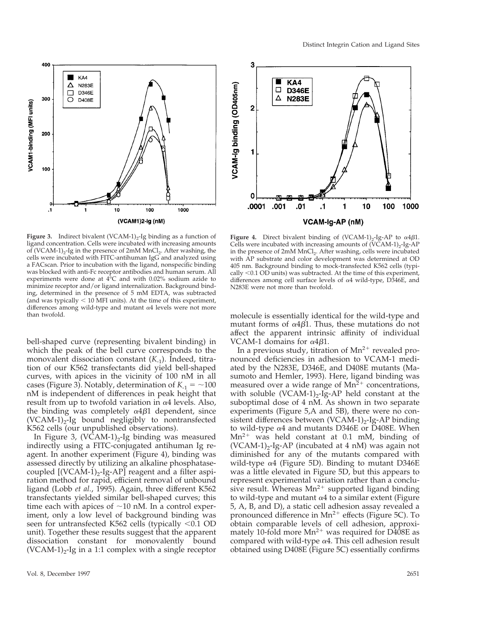



**Figure 3.** Indirect bivalent  $(VCAM-1)_2$ -Ig binding as a function of ligand concentration. Cells were incubated with increasing amounts of (VCAM-1)<sub>2</sub>-Ig in the presence of 2mM MnCl<sub>2</sub>. After washing, the cells were incubated with FITC-antihuman IgG and analyzed using a FACscan. Prior to incubation with the ligand, nonspecific binding was blocked with anti-Fc receptor antibodies and human serum. All experiments were done at  $4^{\circ}$ C and with 0.02% sodium azide to minimize receptor and/or ligand internalization. Background binding, determined in the presence of 5 mM EDTA, was subtracted (and was typically  $<$  10 MFI units). At the time of this experiment, differences among wild-type and mutant  $\alpha$ 4 levels were not more than twofold.

bell-shaped curve (representing bivalent binding) in which the peak of the bell curve corresponds to the monovalent dissociation constant (*K*<sub>-1</sub>). Indeed, titration of our K562 transfectants did yield bell-shaped curves, with apices in the vicinity of 100 nM in all cases (Figure 3). Notably, determination of  $K_{-1} = \sim 100$ nM is independent of differences in peak height that result from up to twofold variation in  $\alpha$ 4 levels. Also, the binding was completely  $\alpha$ 4 $\beta$ 1 dependent, since  $(VCAM-1)_2-Ig$  bound negligibly to nontransfected K562 cells (our unpublished observations).

In Figure 3,  $(V\bar{C}AM-1)_2$ -Ig binding was measured indirectly using a FITC-conjugated antihuman Ig reagent. In another experiment (Figure 4), binding was assessed directly by utilizing an alkaline phosphatasecoupled  $[(VCAM-1)<sub>2</sub>-Ig-AP]$  reagent and a filter aspiration method for rapid, efficient removal of unbound ligand (Lobb *et al.*, 1995). Again, three different K562 transfectants yielded similar bell-shaped curves; this time each with apices of  $\sim$ 10 nM. In a control experiment, only a low level of background binding was seen for untransfected K562 cells (typically  $< 0.1$  OD unit). Together these results suggest that the apparent dissociation constant for monovalently bound  $(VCAM-1)<sub>2</sub>$ -Ig in a 1:1 complex with a single receptor



**Figure 4.** Direct bivalent binding of  $(VCAM-1)_2$ -Ig-AP to  $\alpha$ 4 $\beta$ 1. Cells were incubated with increasing amounts of  $(V\bar{C}AM-1)_2$ -Ig-AP in the presence of 2mM MnCl<sub>2</sub>. After washing, cells were incubated with AP substrate and color development was determined at OD 405 nm. Background binding to mock-transfected K562 cells (typically  $\leq$  0.1 OD units) was subtracted. At the time of this experiment, differences among cell surface levels of  $\alpha$ 4 wild-type, D346E, and N283E were not more than twofold.

molecule is essentially identical for the wild-type and mutant forms of  $\alpha$ 4 $\beta$ 1. Thus, these mutations do not affect the apparent intrinsic affinity of individual VCAM-1 domains for  $\alpha$ 4 $\beta$ 1.

In a previous study, titration of  $Mn^{2+}$  revealed pronounced deficiencies in adhesion to VCAM-1 mediated by the N283E, D346E, and D408E mutants (Masumoto and Hemler, 1993). Here, ligand binding was measured over a wide range of  $Mn^2$ <sup>+</sup> concentrations, with soluble  $(VCAM-1)_2$ -Ig-AP held constant at the suboptimal dose of 4 nM. As shown in two separate experiments (Figure 5,A and 5B), there were no consistent differences between  $(VCAM-1)_2$ -Ig-AP binding to wild-type  $\alpha$ 4 and mutants D346E or D408E. When  $Mn^{2+}$  was held constant at 0.1 mM, binding of  $(VCAM-1)<sub>2</sub>$ -Ig-AP (incubated at 4 nM) was again not diminished for any of the mutants compared with wild-type  $\alpha$ 4 (Figure 5D). Binding to mutant D346E was a little elevated in Figure 5D, but this appears to represent experimental variation rather than a conclusive result. Whereas  $Mn^{2+}$  supported ligand binding to wild-type and mutant  $\alpha$ 4 to a similar extent (Figure 5, A, B, and D), a static cell adhesion assay revealed a pronounced difference in  $Mn^{2+}$  effects (Figure 5C). To obtain comparable levels of cell adhesion, approximately 10-fold more  $Mn^{2+}$  was required for  $D408E$  as compared with wild-type  $\alpha$ 4. This cell adhesion result obtained using D408E (Figure 5C) essentially confirms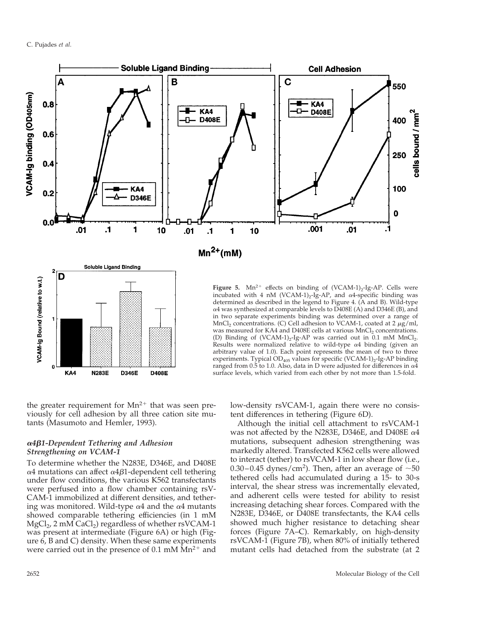

the greater requirement for  $Mn^{2+}$  that was seen previously for cell adhesion by all three cation site mutants (Masumoto and Hemler, 1993).

# <sup>a</sup>*4*b*1-Dependent Tethering and Adhesion Strengthening on VCAM-1*

To determine whether the N283E, D346E, and D408E  $\alpha$ 4 mutations can affect  $\alpha$ 4 $\beta$ 1-dependent cell tethering under flow conditions, the various K562 transfectants were perfused into a flow chamber containing rsV-CAM-1 immobilized at different densities, and tethering was monitored. Wild-type  $\alpha$ 4 and the  $\alpha$ 4 mutants showed comparable tethering efficiencies (in 1 mM  $MgCl<sub>2</sub>$ , 2 mM CaCl<sub>2</sub>) regardless of whether rsVCAM-1 was present at intermediate (Figure 6A) or high (Figure 6, B and C) density. When these same experiments were carried out in the presence of  $0.1 \text{ mM } Mn^{2+}$  and low-density rsVCAM-1, again there were no consistent differences in tethering (Figure 6D).

Although the initial cell attachment to rsVCAM-1 was not affected by the N283E, D346E, and D408E  $\alpha$ 4 mutations, subsequent adhesion strengthening was markedly altered. Transfected K562 cells were allowed to interact (tether) to rsVCAM-1 in low shear flow (i.e., 0.30–0.45 dynes/cm<sup>2</sup>). Then, after an average of  $\sim$ 50 tethered cells had accumulated during a 15- to 30-s interval, the shear stress was incrementally elevated, and adherent cells were tested for ability to resist increasing detaching shear forces. Compared with the N283E, D346E, or D408E transfectants, the KA4 cells showed much higher resistance to detaching shear forces (Figure 7A–C). Remarkably, on high-density rsVCAM-1 (Figure 7B), when 80% of initially tethered mutant cells had detached from the substrate (at 2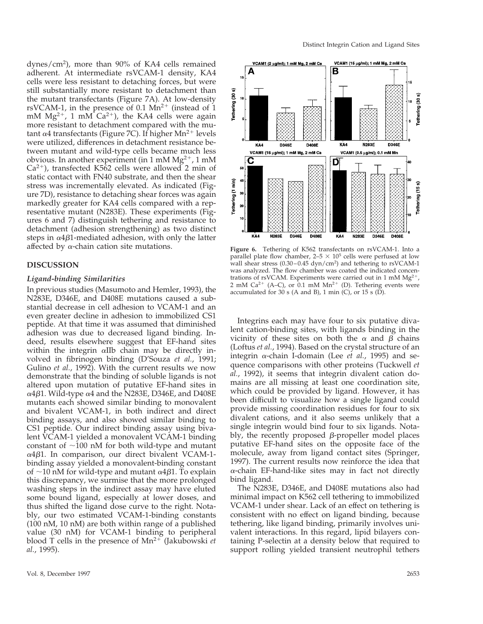dynes/cm2 ), more than 90% of KA4 cells remained adherent. At intermediate rsVCAM-1 density, KA4 cells were less resistant to detaching forces, but were still substantially more resistant to detachment than the mutant transfectants (Figure 7A). At low-density rsVCAM-1, in the presence of 0.1  $Mn^{2+}$  (instead of 1 mM  $Mg^{2+}$ , 1 mM Ca<sup>2+</sup>), the KA4 cells were again more resistant to detachment compared with the mutant  $\alpha$ 4 transfectants (Figure 7C). If higher Mn<sup>2+</sup> levels were utilized, differences in detachment resistance between mutant and wild-type cells became much less obvious. In another experiment (in 1 mM  $Mg^{2+}$ , 1 mM  $Ca^{2+}$ ), transfected K5 $62$  cells were allowed 2 min of static contact with FN40 substrate, and then the shear stress was incrementally elevated. As indicated (Figure 7D), resistance to detaching shear forces was again markedly greater for KA4 cells compared with a representative mutant (N283E). These experiments (Figures 6 and 7) distinguish tethering and resistance to detachment (adhesion strengthening) as two distinct steps in  $\alpha$ 4 $\beta$ 1-mediated adhesion, with only the latter affected by  $\alpha$ -chain cation site mutations.

## **DISCUSSION**

#### *Ligand-binding Similarities*

In previous studies (Masumoto and Hemler, 1993), the N283E, D346E, and D408E mutations caused a substantial decrease in cell adhesion to VCAM-1 and an even greater decline in adhesion to immobilized CS1 peptide. At that time it was assumed that diminished adhesion was due to decreased ligand binding. Indeed, results elsewhere suggest that EF-hand sites within the integrin  $\alpha$ IIb chain may be directly involved in fibrinogen binding (D'Souza *et al.*, 1991; Gulino *et al.*, 1992). With the current results we now demonstrate that the binding of soluble ligands is not altered upon mutation of putative EF-hand sites in  $\alpha$ 4 $\beta$ 1. Wild-type  $\alpha$ 4 and the N283E, D346E, and D408E mutants each showed similar binding to monovalent and bivalent VCAM-1, in both indirect and direct binding assays, and also showed similar binding to CS1 peptide. Our indirect binding assay using bivalent VCAM-1 yielded a monovalent VCAM-1 binding constant of  $\sim$ 100 nM for both wild-type and mutant  $\alpha$ 4 $\beta$ 1. In comparison, our direct bivalent VCAM-1binding assay yielded a monovalent-binding constant of  $\sim$ 10 nM for wild-type and mutant  $\alpha$ 4 $\beta$ 1. To explain this discrepancy, we surmise that the more prolonged washing steps in the indirect assay may have eluted some bound ligand, especially at lower doses, and thus shifted the ligand dose curve to the right. Notably, our two estimated VCAM-1-binding constants (100 nM, 10 nM) are both within range of a published value (30 nM) for VCAM-1 binding to peripheral blood T cells in the presence of  $Mn^{2+}$  (Jakubowski *et al.*, 1995).



**Figure 6.** Tethering of K562 transfectants on rsVCAM-1. Into a parallel plate flow chamber,  $2-5 \times 10^5$  cells were perfused at low wall shear stress (0.30–0.45 dyn/cm2 ) and tethering to rsVCAM-1 was analyzed. The flow chamber was coated the indicated concentrations of rsVCAM. Experiments were carried out in 1 mM  $Mg<sup>2</sup>$ 2 mM Ca<sup>2+</sup> (A–C), or 0.1 mM Mn<sup>2+</sup> (D). Tethering events were accumulated for 30 s (A and B), 1 min  $(C)$ , or 15 s  $(D)$ .

Integrins each may have four to six putative divalent cation-binding sites, with ligands binding in the vicinity of these sites on both the  $\alpha$  and  $\beta$  chains (Loftus *et al.*, 1994). Based on the crystal structure of an integrin <sup>a</sup>-chain I-domain (Lee *et al.*, 1995) and sequence comparisons with other proteins (Tuckwell *et al.*, 1992), it seems that integrin divalent cation domains are all missing at least one coordination site, which could be provided by ligand. However, it has been difficult to visualize how a single ligand could provide missing coordination residues for four to six divalent cations, and it also seems unlikely that a single integrin would bind four to six ligands. Notably, the recently proposed  $\beta$ -propeller model places putative EF-hand sites on the opposite face of the molecule, away from ligand contact sites (Springer, 1997). The current results now reinforce the idea that  $\alpha$ -chain EF-hand-like sites may in fact not directly bind ligand.

The N283E, D346E, and D408E mutations also had minimal impact on K562 cell tethering to immobilized VCAM-1 under shear. Lack of an effect on tethering is consistent with no effect on ligand binding, because tethering, like ligand binding, primarily involves univalent interactions. In this regard, lipid bilayers containing P-selectin at a density below that required to support rolling yielded transient neutrophil tethers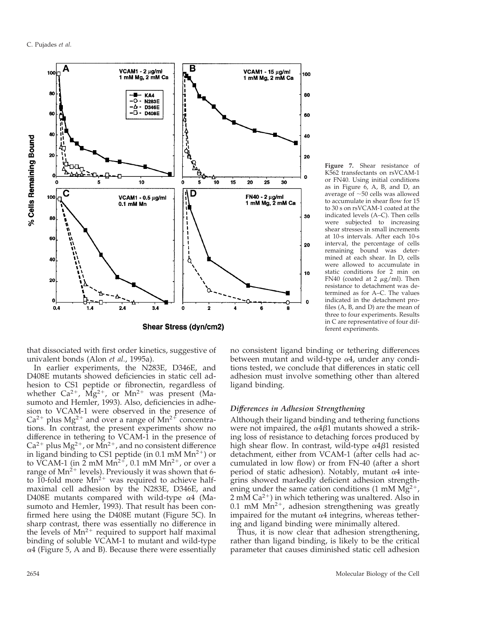

**Shear Stress (dyn/cm2)** 

**Figure 7.** Shear resistance of K562 transfectants on rsVCAM-1 or FN40. Using initial conditions as in Figure  $6$ , A, B, and D, an average of  $\sim$ 50 cells was allowed to accumulate in shear flow for 15 to 30 s on rsVCAM-1 coated at the indicated levels (A–C). Then cells were subjected to increasing shear stresses in small increments at 10-s intervals. After each 10-s interval, the percentage of cells remaining bound was determined at each shear. In D, cells were allowed to accumulate in static conditions for 2 min on FN40 (coated at 2  $\mu$ g/ml). Then resistance to detachment was determined as for A–C. The values indicated in the detachment profiles (A, B, and D) are the mean of three to four experiments. Results in C are representative of four different experiments.

that dissociated with first order kinetics, suggestive of univalent bonds (Alon *et al.*, 1995a).

In earlier experiments, the N283E, D346E, and D408E mutants showed deficiencies in static cell adhesion to CS1 peptide or fibronectin, regardless of whether  $Ca^{2+}$ ,  $Mg^{2+}$ , or  $Mn^{2+}$  was present (Masumoto and Hemler, 1993). Also, deficiencies in adhesion to VCAM-1 were observed in the presence of  $Ca^{2+}$  plus Mg<sup>2+</sup> and over a range of Mn<sup>2+</sup> concentrations. In contrast, the present experiments show no difference in tethering to VCAM-1 in the presence of  $Ca^{2+}$  plus Mg<sup>2+</sup>, or Mn<sup>2+</sup>, and no consistent difference in ligand binding to CS1 peptide (in  $0.1$  mM Mn<sup>2+</sup>) or to VCAM-1 (in  $2 \text{ mM Mn}^{2+}$ , 0.1 mM Mn<sup>2+</sup>, or over a range of  $Mn^{2+}$  levels). Previously it was shown that 6to 10-fold more  $Mn^{2+}$  was required to achieve halfmaximal cell adhesion by the N283E, D346E, and D408E mutants compared with wild-type  $\alpha$ 4 (Masumoto and Hemler, 1993). That result has been confirmed here using the D408E mutant (Figure 5C). In sharp contrast, there was essentially no difference in the levels of  $Mn^{2+}$  required to support half maximal binding of soluble VCAM-1 to mutant and wild-type  $\alpha$ 4 (Figure 5, A and B). Because there were essentially no consistent ligand binding or tethering differences between mutant and wild-type  $\alpha$ 4, under any conditions tested, we conclude that differences in static cell adhesion must involve something other than altered ligand binding.

#### *Differences in Adhesion Strengthening*

Although their ligand binding and tethering functions were not impaired, the  $\alpha$ 4 $\beta$ 1 mutants showed a striking loss of resistance to detaching forces produced by high shear flow. In contrast, wild-type  $\alpha$ 4 $\beta$ 1 resisted detachment, either from VCAM-1 (after cells had accumulated in low flow) or from FN-40 (after a short period of static adhesion). Notably, mutant  $\alpha$ 4 integrins showed markedly deficient adhesion strengthening under the same cation conditions (1 mM  $Mg^{2+}$ ,  $2 \text{ mM Ca}^{2+}$ ) in which tethering was unaltered. Also in 0.1 mM  $Mn^{2+}$ , adhesion strengthening was greatly impaired for the mutant  $\alpha$ 4 integrins, whereas tethering and ligand binding were minimally altered.

Thus, it is now clear that adhesion strengthening, rather than ligand binding, is likely to be the critical parameter that causes diminished static cell adhesion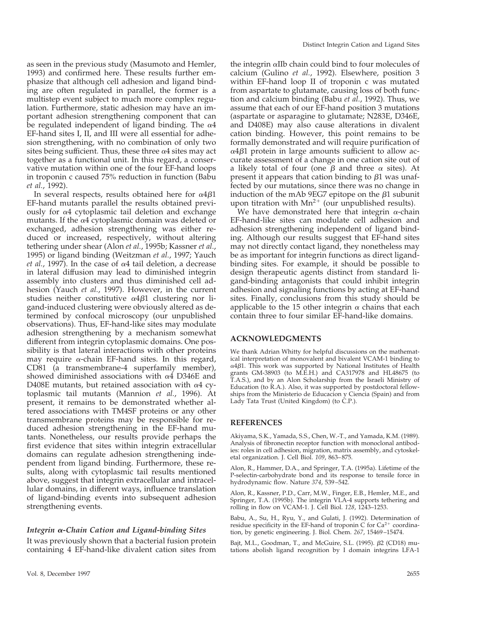as seen in the previous study (Masumoto and Hemler, 1993) and confirmed here. These results further emphasize that although cell adhesion and ligand binding are often regulated in parallel, the former is a multistep event subject to much more complex regulation. Furthermore, static adhesion may have an important adhesion strengthening component that can be regulated independent of ligand binding. The  $\alpha$ 4 EF-hand sites I, II, and III were all essential for adhesion strengthening, with no combination of only two sites being sufficient. Thus, these three  $\alpha$ 4 sites may act together as a functional unit. In this regard, a conservative mutation within one of the four EF-hand loops in troponin c caused 75% reduction in function (Babu *et al.*, 1992).

In several respects, results obtained here for  $\alpha$ 4 $\beta$ 1 EF-hand mutants parallel the results obtained previously for  $\alpha$ 4 cytoplasmic tail deletion and exchange mutants. If the  $\alpha$ 4 cytoplasmic domain was deleted or exchanged, adhesion strengthening was either reduced or increased, respectively, without altering tethering under shear (Alon *et al.*, 1995b; Kassner *et al.*, 1995) or ligand binding (Weitzman *et al.*, 1997; Yauch *et al.*, 1997). In the case of  $\alpha$ 4 tail deletion, a decrease in lateral diffusion may lead to diminished integrin assembly into clusters and thus diminished cell adhesion (Yauch *et al.*, 1997). However, in the current studies neither constitutive  $\alpha$ 4 $\beta$ 1 clustering nor ligand-induced clustering were obviously altered as determined by confocal microscopy (our unpublished observations). Thus, EF-hand-like sites may modulate adhesion strengthening by a mechanism somewhat different from integrin cytoplasmic domains. One possibility is that lateral interactions with other proteins may require  $\alpha$ -chain EF-hand sites. In this regard, CD81 (a transmembrane-4 superfamily member), showed diminished associations with  $\alpha$ 4 D346E and D408E mutants, but retained association with  $\alpha$ 4 cytoplasmic tail mutants (Mannion *et al.*, 1996). At present, it remains to be demonstrated whether altered associations with TM4SF proteins or any other transmembrane proteins may be responsible for reduced adhesion strengthening in the EF-hand mutants. Nonetheless, our results provide perhaps the first evidence that sites within integrin extracellular domains can regulate adhesion strengthening independent from ligand binding. Furthermore, these results, along with cytoplasmic tail results mentioned above, suggest that integrin extracellular and intracellular domains, in different ways, influence translation of ligand-binding events into subsequent adhesion strengthening events.

#### *Integrin* <sup>a</sup>*-Chain Cation and Ligand-binding Sites*

It was previously shown that a bacterial fusion protein containing 4 EF-hand-like divalent cation sites from

the integrin <sup>a</sup>IIb chain could bind to four molecules of calcium (Gulino *et al.*, 1992). Elsewhere, position 3 within EF-hand loop II of troponin c was mutated from aspartate to glutamate, causing loss of both function and calcium binding (Babu *et al.*, 1992). Thus, we assume that each of our EF-hand position 3 mutations (aspartate or asparagine to glutamate; N283E, D346E, and D408E) may also cause alterations in divalent cation binding. However, this point remains to be formally demonstrated and will require purification of  $\alpha$ 4 $\beta$ 1 protein in large amounts sufficient to allow accurate assessment of a change in one cation site out of a likely total of four (one  $\beta$  and three  $\alpha$  sites). At present it appears that cation binding to  $\beta$ 1 was unaffected by our mutations, since there was no change in induction of the mAb 9EG7 epitope on the  $\beta$ 1 subunit upon titration with  $Mn^{2+}$  (our unpublished results).

We have demonstrated here that integrin  $\alpha$ -chain EF-hand-like sites can modulate cell adhesion and adhesion strengthening independent of ligand binding. Although our results suggest that EF-hand sites may not directly contact ligand, they nonetheless may be as important for integrin functions as direct ligandbinding sites. For example, it should be possible to design therapeutic agents distinct from standard ligand-binding antagonists that could inhibit integrin adhesion and signaling functions by acting at EF-hand sites. Finally, conclusions from this study should be applicable to the 15 other integrin  $\alpha$  chains that each contain three to four similar EF-hand-like domains.

#### **ACKNOWLEDGMENTS**

We thank Adrian Whitty for helpful discussions on the mathematical interpretation of monovalent and bivalent VCAM-1 binding to  $\alpha$ 4 $\beta$ 1. This work was supported by National Institutes of Health grants GM-38903 (to M.E.H.) and CA317978 and HL48675 (to T.A.S.), and by an Alon Scholarship from the Israeli Ministry of Education (to R.A.). Also, it was supported by postdoctoral fellowships from the Ministerio de Educacion y Ciencia (Spain) and from Lady Tata Trust (United Kingdom) (to C.P.).

# **REFERENCES**

Akiyama, S.K., Yamada, S.S., Chen, W.-T., and Yamada, K.M. (1989). Analysis of fibronectin receptor function with monoclonal antibodies: roles in cell adhesion, migration, matrix assembly, and cytoskeletal organization. J. Cell Biol. *109*, 863–875.

Alon, R., Hammer, D.A., and Springer, T.A. (1995a). Lifetime of the P-selectin-carbohydrate bond and its response to tensile force in hydrodynamic flow. Nature *374*, 539–542.

Alon, R., Kassner, P.D., Carr, M.W., Finger, E.B., Hemler, M.E., and Springer, T.A. (1995b). The integrin VLA-4 supports tethering and rolling in flow on VCAM-1. J. Cell Biol. *128*, 1243–1253.

Babu, A., Su, H., Ryu, Y., and Gulati, J. (1992). Determination of residue specificity in the EF-hand of troponin C for  $Ca^{2+}$  coordination, by genetic engineering. J. Biol. Chem. *267*, 15469–15474.

Bajt, M.L., Goodman, T., and McGuire, S.L. (1995).  $\beta$ 2 (CD18) mutations abolish ligand recognition by I domain integrins LFA-1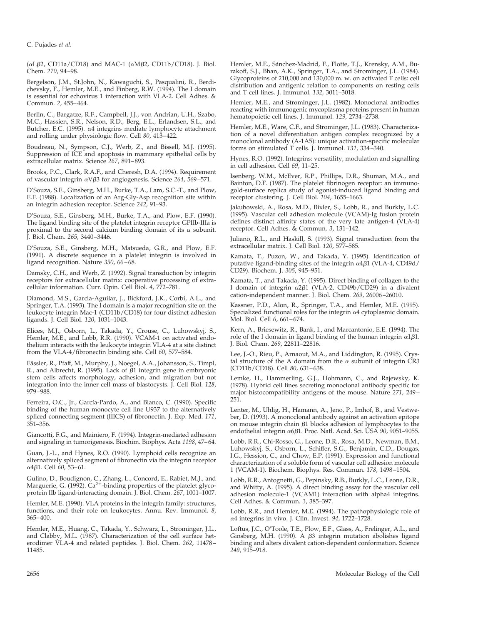C. Pujades *et al.*

( $\alpha$ L $\beta$ 2, CD11a/CD18) and MAC-1 ( $\alpha$ M $\beta$ 2, CD11b/CD18). J. Biol. Chem. *270*, 94–98.

Bergelson, J.M., St.John, N., Kawaguchi, S., Pasqualini, R., Berdichevsky, F., Hemler, M.E., and Finberg, R.W. (1994). The I domain is essential for echovirus 1 interaction with VLA-2. Cell Adhes. & Commun. *2*, 455–464.

Berlin, C., Bargatze, R.F., Campbell, J.J., von Andrian, U.H., Szabo, M.C., Hassien, S.R., Nelson, R.D., Berg, E.L., Erlandsen, S.L., and Butcher, E.C. (1995). <sup>a</sup>4 integrins mediate lymphocyte attachment and rolling under physiologic flow. Cell *80*, 413–422.

Boudreau, N., Sympson, C.J., Werb, Z., and Bissell, M.J. (1995). Suppression of ICE and apoptosis in mammary epithelial cells by extracellular matrix. Science *267*, 891–893.

Brooks, P.C., Clark, R.A.F., and Cheresh, D.A. (1994). Requirement of vascular integrin <sup>a</sup>Vb3 for angiogenesis. Science *264*, 569–571.

D'Souza, S.E., Ginsberg, M.H., Burke, T.A., Lam, S.C.-T., and Plow, E.F. (1988). Localization of an Arg-Gly-Asp recognition site within an integrin adhesion receptor. Science *242*, 91–93.

D'Souza, S.E., Ginsberg, M.H., Burke, T.A., and Plow, E.F. (1990). The ligand binding site of the platelet integrin receptor GPIIb-IIIa is proximal to the second calcium binding domain of its  $\alpha$  subunit. J. Biol. Chem. *265*, 3440–3446.

D'Souza, S.E., Ginsberg, M.H., Matsueda, G.R., and Plow, E.F. (1991). A discrete sequence in a platelet integrin is involved in ligand recognition. Nature *350*, 66–68.

Damsky, C.H., and Werb, Z. (1992). Signal transduction by integrin receptors for extracellular matrix: cooperative processing of extracellular information. Curr. Opin. Cell Biol. *4*, 772–781.

Diamond, M.S., Garcia-Aguilar, J., Bickford, J.K., Corbi, A.L., and Springer, T.A. (1993). The I domain is a major recognition site on the leukocyte integrin Mac-1 (CD11b/CD18) for four distinct adhesion ligands. J. Cell Biol. *120*, 1031–1043.

Elices, M.J., Osborn, L., Takada, Y., Crouse, C., Luhowskyj, S., Hemler, M.E., and Lobb, R.R. (1990). VCAM-1 on activated endothelium interacts with the leukocyte integrin VLA-4 at a site distinct from the VLA-4/fibronectin binding site. Cell *60*, 577–584.

Fässler, R., Pfaff, M., Murphy, J., Noegel, A.A., Johansson, S., Timpl, R., and Albrecht, R. (1995). Lack of  $\beta$ 1 integrin gene in embryonic stem cells affects morphology, adhesion, and migration but not integration into the inner cell mass of blastocysts. J. Cell Biol. *128*, 979–988.

Ferreira, O.C., Jr., García-Pardo, A., and Bianco, C. (1990). Specific binding of the human monocyte cell line U937 to the alternatively spliced connecting segment (IIICS) of fibronectin. J. Exp. Med. *171*, 351–356.

Giancotti, F.G., and Mainiero, F. (1994). Integrin-mediated adhesion and signaling in tumorigenesis. Biochim. Biophys. Acta *1198*, 47–64.

Guan, J.-L., and Hynes, R.O. (1990). Lymphoid cells recognize an alternatively spliced segment of fibronectin via the integrin receptor <sup>a</sup>4b1. Cell *60*, 53–61.

Gulino, D., Boudignon, C., Zhang, L., Concord, E., Rabiet, M.J., and<br>Marguerie, G. (1992). Ca<sup>2+</sup>-binding properties of the platelet glycoprotein IIb ligand-interacting domain. J. Biol. Chem. *267*, 1001–1007.

Hemler, M.E. (1990). VLA proteins in the integrin family: structures, functions, and their role on leukocytes. Annu. Rev. Immunol. *8*, 365–400.

Hemler, M.E., Huang, C., Takada, Y., Schwarz, L., Strominger, J.L., and Clabby, M.L. (1987). Characterization of the cell surface heterodimer VLA-4 and related peptides. J. Biol. Chem. *262*, 11478– 11485.

Hemler, M.E., Sánchez-Madrid, F., Flotte, T.J., Krensky, A.M., Burakoff, S.J., Bhan, A.K., Springer, T.A., and Strominger, J.L. (1984). Glycoproteins of 210,000 and 130,000 m. w. on activated T cells: cell distribution and antigenic relation to components on resting cells and T cell lines. J. Immunol. *132*, 3011–3018.

Hemler, M.E., and Strominger, J.L. (1982). Monoclonal antibodies reacting with immunogenic mycoplasma proteins present in human hematopoietic cell lines. J. Immunol. *129*, 2734–2738.

Hemler, M.E., Ware, C.F., and Strominger, J.L. (1983). Characterization of a novel differentiation antigen complex recognized by a monoclonal antibody (A-1A5): unique activation-specific molecular forms on stimulated T cells. J. Immunol. *131*, 334–340.

Hynes, R.O. (1992). Integrins: versatility, modulation and signalling in cell adhesion. Cell *69*, 11–25.

Isenberg, W.M., McEver, R.P., Phillips, D.R., Shuman, M.A., and Bainton, D.F. (1987). The platelet fibrinogen receptor: an immunogold-surface replica study of agonist-induced ligand binding and receptor clustering. J. Cell Biol. *104*, 1655–1663.

Jakubowski, A., Rosa, M.D., Bixler, S., Lobb, R., and Burkly, L.C. (1995). Vascular cell adhesion molecule (VCAM)-Ig fusion protein defines distinct affinity states of the very late antigen-4 (VLA-4) receptor. Cell Adhes. & Commun. *3*, 131–142.

Juliano, R.L., and Haskill, S. (1993). Signal transduction from the extracellular matrix. J. Cell Biol. *120*, 577–585.

Kamata, T., Puzon, W., and Takada, Y. (1995). Identification of putative ligand-binding sites of the integrin  $\alpha$ 4 $\beta$ 1 (VLA-4, CD49d/ CD29). Biochem. J. *305*, 945–951.

Kamata, T., and Takada, Y. (1995). Direct binding of collagen to the I domain of integrin  $\alpha$ 2 $\beta$ 1 (VLA-2, CD49b/CD29) in a divalent cation-independent manner. J. Biol. Chem. *269*, 26006–26010.

Kassner, P.D., Alon, R., Springer, T.A., and Hemler, M.E. (1995). Specialized functional roles for the integrin  $\alpha$ 4 cytoplasmic domain. Mol. Biol. Cell *6*, 661–674.

Kern, A., Briesewitz, R., Bank, I., and Marcantonio, E.E. (1994). The role of the I domain in ligand binding of the human integrin  $\alpha$ 1 $\beta$ 1. J. Biol. Chem. *269*, 22811–22816.

Lee, J.-O., Rieu, P., Arnaout, M.A., and Liddington, R. (1995). Crystal structure of the A domain from the  $\alpha$  subunit of integrin CR3 (CD11b/CD18). Cell *80*, 631–638.

Lemke, H., Hammerling, G.J., Hohmann, C., and Rajewsky, K. (1978). Hybrid cell lines secreting monoclonal antibody specific for major histocompatibility antigens of the mouse. Nature *271*, 249– 251.

Lenter, M., Uhlig, H., Hamann, A., Jeno, P., Imhof, B., and Vestweber, D. (1993). A monoclonal antibody against an activation epitope on mouse integrin chain  $\beta$ 1 blocks adhesion of lymphocytes to the endothelial integrin <sup>a</sup>6b1. Proc. Natl. Acad. Sci. USA *90*, 9051–9055.

Lobb, R.R., Chi-Rosso, G., Leone, D.R., Rosa, M.D., Newman, B.M., Luhowskyj, S., Osborn, L., Schiffer, S.G., Benjamin, C.D., Dougas, I.G., Hession, C., and Chow, E.P. (1991). Expression and functional characterization of a soluble form of vascular cell adhesion molecule 1 (VCAM-1). Biochem. Biophys. Res. Commun. *178*, 1498–1504.

Lobb, R.R., Antognetti, G., Pepinsky, R.B., Burkly, L.C., Leone, D.R., and Whitty, A. (1995). A direct binding assay for the vascular cell adhesion molecule-1 (VCAM1) interaction with alpha4 integrins. Cell Adhes. & Commun. *3*, 385–397.

Lobb, R.R., and Hemler, M.E. (1994). The pathophysiologic role of <sup>a</sup>4 integrins in vivo. J. Clin. Invest. *94*, 1722–1728.

Loftus, J.C., O'Toole, T.E., Plow, E.F., Glass, A., Frelinger, A.L., and Ginsberg, M.H. (1990). A  $\beta$ 3 integrin mutation abolishes ligand binding and alters divalent cation-dependent conformation. Science *249*, 915–918.